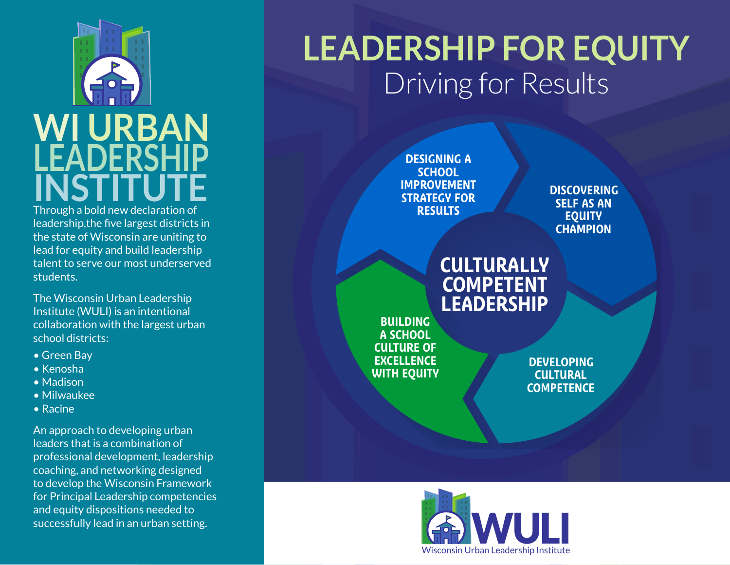## WULI  $\overline{\text{WI}}$  URBAN  $\parallel$ **LEADERSHIP INSTITUTE** Through a bold new declaration of

leadership,the five largest districts in the state of Wisconsin are uniting to lead for equity and build leadership talent to serve our most underserved students.

The Wisconsin Urban Leadership Institute (WULI) is an intentional collaboration with the largest urban school districts:

- Green Bay
- Kenosha
- Madison
- Milwaukee
- Racine

An approach to developing urban leaders that is a combination of professional development, leadership coaching, and networking designed to develop the Wisconsin Framework for Principal Leadership competencies and equity dispositions needed to successfully lead in an urban setting.

## **LEADERSHIP FOR EQUITY** Driving for Results

**DESIGNING A SCHOOL IMPROVEMENT STRATEGY FOR RESULTS**

**DISCOVERING SELF AS AN EQUITY CHAMPION**

## **CULTURALLY COMPETENT LEADERSHIP**

**BUILDING A SCHOOL CULTURE OF EXCELLENCE WITH EQUITY**

**DEVELOPING CULTURAL COMPETENCE**